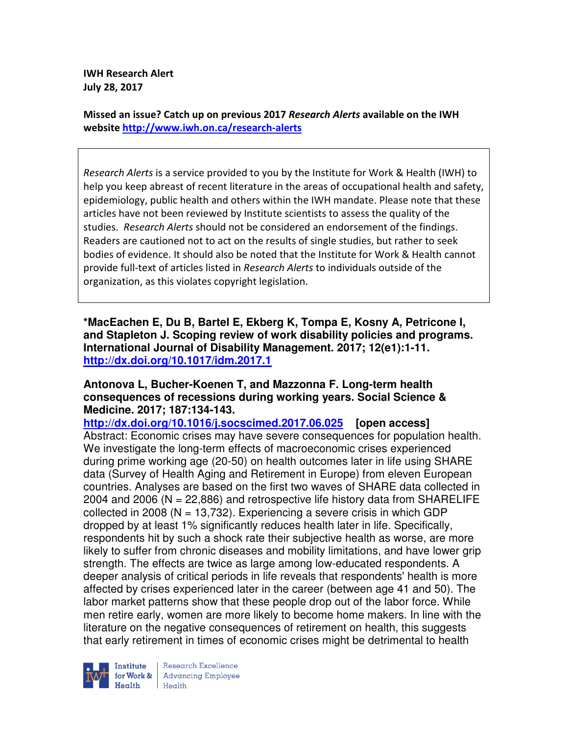**IWH Research Alert July 28, 2017** 

**Missed an issue? Catch up on previous 2017** *Research Alerts* **available on the IWH website http://www.iwh.on.ca/research-alerts**

*Research Alerts* is a service provided to you by the Institute for Work & Health (IWH) to help you keep abreast of recent literature in the areas of occupational health and safety, epidemiology, public health and others within the IWH mandate. Please note that these articles have not been reviewed by Institute scientists to assess the quality of the studies. *Research Alerts* should not be considered an endorsement of the findings. Readers are cautioned not to act on the results of single studies, but rather to seek bodies of evidence. It should also be noted that the Institute for Work & Health cannot provide full-text of articles listed in *Research Alerts* to individuals outside of the organization, as this violates copyright legislation.

**\*MacEachen E, Du B, Bartel E, Ekberg K, Tompa E, Kosny A, Petricone I, and Stapleton J. Scoping review of work disability policies and programs. International Journal of Disability Management. 2017; 12(e1):1-11. http://dx.doi.org/10.1017/idm.2017.1** 

### **Antonova L, Bucher-Koenen T, and Mazzonna F. Long-term health consequences of recessions during working years. Social Science & Medicine. 2017; 187:134-143.**

**http://dx.doi.org/10.1016/j.socscimed.2017.06.025 [open access]** Abstract: Economic crises may have severe consequences for population health. We investigate the long-term effects of macroeconomic crises experienced during prime working age (20-50) on health outcomes later in life using SHARE data (Survey of Health Aging and Retirement in Europe) from eleven European countries. Analyses are based on the first two waves of SHARE data collected in 2004 and 2006 ( $N = 22,886$ ) and retrospective life history data from SHARELIFE collected in 2008 ( $N = 13,732$ ). Experiencing a severe crisis in which GDP dropped by at least 1% significantly reduces health later in life. Specifically, respondents hit by such a shock rate their subjective health as worse, are more likely to suffer from chronic diseases and mobility limitations, and have lower grip strength. The effects are twice as large among low-educated respondents. A deeper analysis of critical periods in life reveals that respondents' health is more affected by crises experienced later in the career (between age 41 and 50). The labor market patterns show that these people drop out of the labor force. While men retire early, women are more likely to become home makers. In line with the literature on the negative consequences of retirement on health, this suggests that early retirement in times of economic crises might be detrimental to health



Research Excellence **Institute** Research Excellence<br> **For Work &**<br>
Morth Harlth Harlth  $H_{\text{eath}}$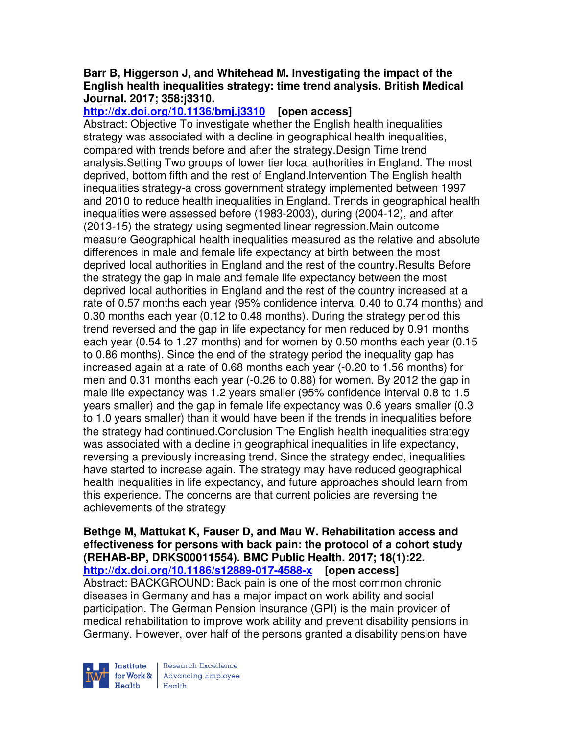### **Barr B, Higgerson J, and Whitehead M. Investigating the impact of the English health inequalities strategy: time trend analysis. British Medical Journal. 2017; 358:j3310.**

**http://dx.doi.org/10.1136/bmj.j3310 [open access]**

Abstract: Objective To investigate whether the English health inequalities strategy was associated with a decline in geographical health inequalities, compared with trends before and after the strategy.Design Time trend analysis.Setting Two groups of lower tier local authorities in England. The most deprived, bottom fifth and the rest of England.Intervention The English health inequalities strategy-a cross government strategy implemented between 1997 and 2010 to reduce health inequalities in England. Trends in geographical health inequalities were assessed before (1983-2003), during (2004-12), and after (2013-15) the strategy using segmented linear regression.Main outcome measure Geographical health inequalities measured as the relative and absolute differences in male and female life expectancy at birth between the most deprived local authorities in England and the rest of the country.Results Before the strategy the gap in male and female life expectancy between the most deprived local authorities in England and the rest of the country increased at a rate of 0.57 months each year (95% confidence interval 0.40 to 0.74 months) and 0.30 months each year (0.12 to 0.48 months). During the strategy period this trend reversed and the gap in life expectancy for men reduced by 0.91 months each year (0.54 to 1.27 months) and for women by 0.50 months each year (0.15 to 0.86 months). Since the end of the strategy period the inequality gap has increased again at a rate of 0.68 months each year (-0.20 to 1.56 months) for men and 0.31 months each year (-0.26 to 0.88) for women. By 2012 the gap in male life expectancy was 1.2 years smaller (95% confidence interval 0.8 to 1.5 years smaller) and the gap in female life expectancy was 0.6 years smaller (0.3 to 1.0 years smaller) than it would have been if the trends in inequalities before the strategy had continued.Conclusion The English health inequalities strategy was associated with a decline in geographical inequalities in life expectancy, reversing a previously increasing trend. Since the strategy ended, inequalities have started to increase again. The strategy may have reduced geographical health inequalities in life expectancy, and future approaches should learn from this experience. The concerns are that current policies are reversing the achievements of the strategy

**Bethge M, Mattukat K, Fauser D, and Mau W. Rehabilitation access and effectiveness for persons with back pain: the protocol of a cohort study (REHAB-BP, DRKS00011554). BMC Public Health. 2017; 18(1):22. http://dx.doi.org/10.1186/s12889-017-4588-x [open access]** Abstract: BACKGROUND: Back pain is one of the most common chronic diseases in Germany and has a major impact on work ability and social participation. The German Pension Insurance (GPI) is the main provider of medical rehabilitation to improve work ability and prevent disability pensions in Germany. However, over half of the persons granted a disability pension have

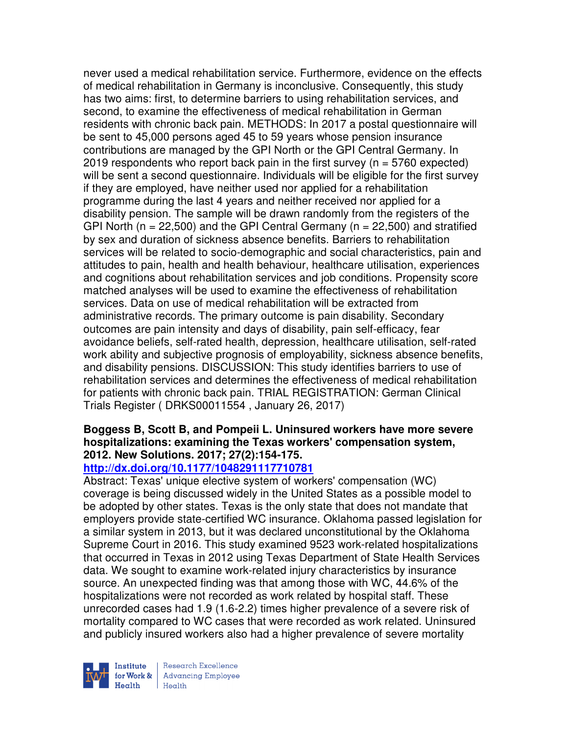never used a medical rehabilitation service. Furthermore, evidence on the effects of medical rehabilitation in Germany is inconclusive. Consequently, this study has two aims: first, to determine barriers to using rehabilitation services, and second, to examine the effectiveness of medical rehabilitation in German residents with chronic back pain. METHODS: In 2017 a postal questionnaire will be sent to 45,000 persons aged 45 to 59 years whose pension insurance contributions are managed by the GPI North or the GPI Central Germany. In 2019 respondents who report back pain in the first survey ( $n = 5760$  expected) will be sent a second questionnaire. Individuals will be eligible for the first survey if they are employed, have neither used nor applied for a rehabilitation programme during the last 4 years and neither received nor applied for a disability pension. The sample will be drawn randomly from the registers of the GPI North ( $n = 22,500$ ) and the GPI Central Germany ( $n = 22,500$ ) and stratified by sex and duration of sickness absence benefits. Barriers to rehabilitation services will be related to socio-demographic and social characteristics, pain and attitudes to pain, health and health behaviour, healthcare utilisation, experiences and cognitions about rehabilitation services and job conditions. Propensity score matched analyses will be used to examine the effectiveness of rehabilitation services. Data on use of medical rehabilitation will be extracted from administrative records. The primary outcome is pain disability. Secondary outcomes are pain intensity and days of disability, pain self-efficacy, fear avoidance beliefs, self-rated health, depression, healthcare utilisation, self-rated work ability and subjective prognosis of employability, sickness absence benefits, and disability pensions. DISCUSSION: This study identifies barriers to use of rehabilitation services and determines the effectiveness of medical rehabilitation for patients with chronic back pain. TRIAL REGISTRATION: German Clinical Trials Register ( DRKS00011554 , January 26, 2017)

### **Boggess B, Scott B, and Pompeii L. Uninsured workers have more severe hospitalizations: examining the Texas workers' compensation system, 2012. New Solutions. 2017; 27(2):154-175.**

# **http://dx.doi.org/10.1177/1048291117710781**

Abstract: Texas' unique elective system of workers' compensation (WC) coverage is being discussed widely in the United States as a possible model to be adopted by other states. Texas is the only state that does not mandate that employers provide state-certified WC insurance. Oklahoma passed legislation for a similar system in 2013, but it was declared unconstitutional by the Oklahoma Supreme Court in 2016. This study examined 9523 work-related hospitalizations that occurred in Texas in 2012 using Texas Department of State Health Services data. We sought to examine work-related injury characteristics by insurance source. An unexpected finding was that among those with WC, 44.6% of the hospitalizations were not recorded as work related by hospital staff. These unrecorded cases had 1.9 (1.6-2.2) times higher prevalence of a severe risk of mortality compared to WC cases that were recorded as work related. Uninsured and publicly insured workers also had a higher prevalence of severe mortality

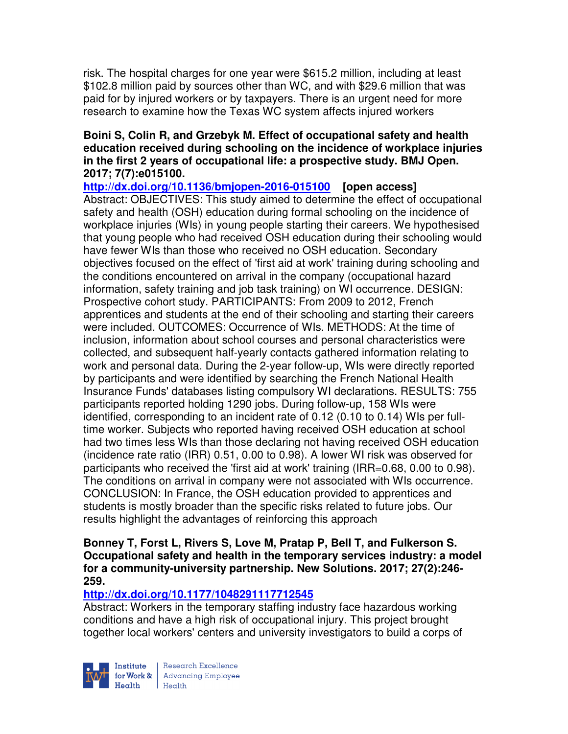risk. The hospital charges for one year were \$615.2 million, including at least \$102.8 million paid by sources other than WC, and with \$29.6 million that was paid for by injured workers or by taxpayers. There is an urgent need for more research to examine how the Texas WC system affects injured workers

### **Boini S, Colin R, and Grzebyk M. Effect of occupational safety and health education received during schooling on the incidence of workplace injuries in the first 2 years of occupational life: a prospective study. BMJ Open. 2017; 7(7):e015100.**

**http://dx.doi.org/10.1136/bmjopen-2016-015100 [open access]** Abstract: OBJECTIVES: This study aimed to determine the effect of occupational safety and health (OSH) education during formal schooling on the incidence of workplace injuries (WIs) in young people starting their careers. We hypothesised that young people who had received OSH education during their schooling would have fewer WIs than those who received no OSH education. Secondary objectives focused on the effect of 'first aid at work' training during schooling and the conditions encountered on arrival in the company (occupational hazard information, safety training and job task training) on WI occurrence. DESIGN: Prospective cohort study. PARTICIPANTS: From 2009 to 2012, French apprentices and students at the end of their schooling and starting their careers were included. OUTCOMES: Occurrence of WIs. METHODS: At the time of inclusion, information about school courses and personal characteristics were collected, and subsequent half-yearly contacts gathered information relating to work and personal data. During the 2-year follow-up, WIs were directly reported by participants and were identified by searching the French National Health Insurance Funds' databases listing compulsory WI declarations. RESULTS: 755 participants reported holding 1290 jobs. During follow-up, 158 WIs were identified, corresponding to an incident rate of 0.12 (0.10 to 0.14) WIs per fulltime worker. Subjects who reported having received OSH education at school had two times less WIs than those declaring not having received OSH education (incidence rate ratio (IRR) 0.51, 0.00 to 0.98). A lower WI risk was observed for participants who received the 'first aid at work' training (IRR=0.68, 0.00 to 0.98). The conditions on arrival in company were not associated with WIs occurrence. CONCLUSION: In France, the OSH education provided to apprentices and students is mostly broader than the specific risks related to future jobs. Our results highlight the advantages of reinforcing this approach

### **Bonney T, Forst L, Rivers S, Love M, Pratap P, Bell T, and Fulkerson S. Occupational safety and health in the temporary services industry: a model for a community-university partnership. New Solutions. 2017; 27(2):246- 259.**

# **http://dx.doi.org/10.1177/1048291117712545**

Abstract: Workers in the temporary staffing industry face hazardous working conditions and have a high risk of occupational injury. This project brought together local workers' centers and university investigators to build a corps of

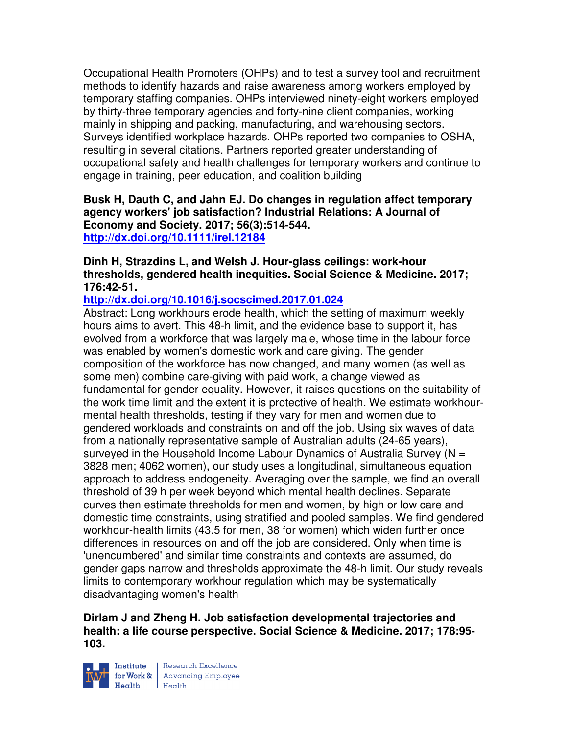Occupational Health Promoters (OHPs) and to test a survey tool and recruitment methods to identify hazards and raise awareness among workers employed by temporary staffing companies. OHPs interviewed ninety-eight workers employed by thirty-three temporary agencies and forty-nine client companies, working mainly in shipping and packing, manufacturing, and warehousing sectors. Surveys identified workplace hazards. OHPs reported two companies to OSHA, resulting in several citations. Partners reported greater understanding of occupational safety and health challenges for temporary workers and continue to engage in training, peer education, and coalition building

### **Busk H, Dauth C, and Jahn EJ. Do changes in regulation affect temporary agency workers' job satisfaction? Industrial Relations: A Journal of Economy and Society. 2017; 56(3):514-544. http://dx.doi.org/10.1111/irel.12184**

### **Dinh H, Strazdins L, and Welsh J. Hour-glass ceilings: work-hour thresholds, gendered health inequities. Social Science & Medicine. 2017; 176:42-51.**

# **http://dx.doi.org/10.1016/j.socscimed.2017.01.024**

Abstract: Long workhours erode health, which the setting of maximum weekly hours aims to avert. This 48-h limit, and the evidence base to support it, has evolved from a workforce that was largely male, whose time in the labour force was enabled by women's domestic work and care giving. The gender composition of the workforce has now changed, and many women (as well as some men) combine care-giving with paid work, a change viewed as fundamental for gender equality. However, it raises questions on the suitability of the work time limit and the extent it is protective of health. We estimate workhourmental health thresholds, testing if they vary for men and women due to gendered workloads and constraints on and off the job. Using six waves of data from a nationally representative sample of Australian adults (24-65 years), surveyed in the Household Income Labour Dynamics of Australia Survey ( $N =$ 3828 men; 4062 women), our study uses a longitudinal, simultaneous equation approach to address endogeneity. Averaging over the sample, we find an overall threshold of 39 h per week beyond which mental health declines. Separate curves then estimate thresholds for men and women, by high or low care and domestic time constraints, using stratified and pooled samples. We find gendered workhour-health limits (43.5 for men, 38 for women) which widen further once differences in resources on and off the job are considered. Only when time is 'unencumbered' and similar time constraints and contexts are assumed, do gender gaps narrow and thresholds approximate the 48-h limit. Our study reveals limits to contemporary workhour regulation which may be systematically disadvantaging women's health

### **Dirlam J and Zheng H. Job satisfaction developmental trajectories and health: a life course perspective. Social Science & Medicine. 2017; 178:95- 103.**



Institute Research Excellence<br>
for Work & Advancing Employee<br>
Health Health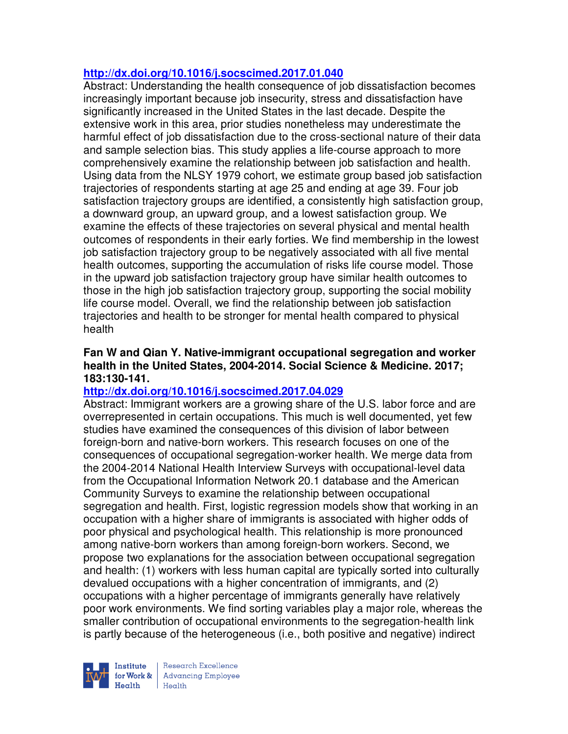### **http://dx.doi.org/10.1016/j.socscimed.2017.01.040**

Abstract: Understanding the health consequence of job dissatisfaction becomes increasingly important because job insecurity, stress and dissatisfaction have significantly increased in the United States in the last decade. Despite the extensive work in this area, prior studies nonetheless may underestimate the harmful effect of job dissatisfaction due to the cross-sectional nature of their data and sample selection bias. This study applies a life-course approach to more comprehensively examine the relationship between job satisfaction and health. Using data from the NLSY 1979 cohort, we estimate group based job satisfaction trajectories of respondents starting at age 25 and ending at age 39. Four job satisfaction trajectory groups are identified, a consistently high satisfaction group, a downward group, an upward group, and a lowest satisfaction group. We examine the effects of these trajectories on several physical and mental health outcomes of respondents in their early forties. We find membership in the lowest job satisfaction trajectory group to be negatively associated with all five mental health outcomes, supporting the accumulation of risks life course model. Those in the upward job satisfaction trajectory group have similar health outcomes to those in the high job satisfaction trajectory group, supporting the social mobility life course model. Overall, we find the relationship between job satisfaction trajectories and health to be stronger for mental health compared to physical health

### **Fan W and Qian Y. Native-immigrant occupational segregation and worker health in the United States, 2004-2014. Social Science & Medicine. 2017; 183:130-141.**

# **http://dx.doi.org/10.1016/j.socscimed.2017.04.029**

Abstract: Immigrant workers are a growing share of the U.S. labor force and are overrepresented in certain occupations. This much is well documented, yet few studies have examined the consequences of this division of labor between foreign-born and native-born workers. This research focuses on one of the consequences of occupational segregation-worker health. We merge data from the 2004-2014 National Health Interview Surveys with occupational-level data from the Occupational Information Network 20.1 database and the American Community Surveys to examine the relationship between occupational segregation and health. First, logistic regression models show that working in an occupation with a higher share of immigrants is associated with higher odds of poor physical and psychological health. This relationship is more pronounced among native-born workers than among foreign-born workers. Second, we propose two explanations for the association between occupational segregation and health: (1) workers with less human capital are typically sorted into culturally devalued occupations with a higher concentration of immigrants, and (2) occupations with a higher percentage of immigrants generally have relatively poor work environments. We find sorting variables play a major role, whereas the smaller contribution of occupational environments to the segregation-health link is partly because of the heterogeneous (i.e., both positive and negative) indirect



Research Excellence **Institute** Research Excellence<br> **For Work &**<br>
Reduction Employee  $H_{\text{each}}$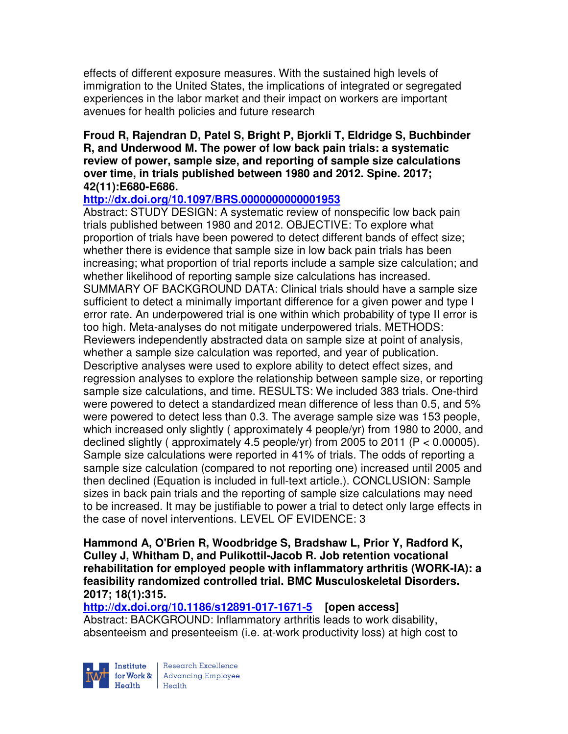effects of different exposure measures. With the sustained high levels of immigration to the United States, the implications of integrated or segregated experiences in the labor market and their impact on workers are important avenues for health policies and future research

#### **Froud R, Rajendran D, Patel S, Bright P, Bjorkli T, Eldridge S, Buchbinder R, and Underwood M. The power of low back pain trials: a systematic review of power, sample size, and reporting of sample size calculations over time, in trials published between 1980 and 2012. Spine. 2017; 42(11):E680-E686.**

### **http://dx.doi.org/10.1097/BRS.0000000000001953**

Abstract: STUDY DESIGN: A systematic review of nonspecific low back pain trials published between 1980 and 2012. OBJECTIVE: To explore what proportion of trials have been powered to detect different bands of effect size; whether there is evidence that sample size in low back pain trials has been increasing; what proportion of trial reports include a sample size calculation; and whether likelihood of reporting sample size calculations has increased. SUMMARY OF BACKGROUND DATA: Clinical trials should have a sample size sufficient to detect a minimally important difference for a given power and type I error rate. An underpowered trial is one within which probability of type II error is too high. Meta-analyses do not mitigate underpowered trials. METHODS: Reviewers independently abstracted data on sample size at point of analysis, whether a sample size calculation was reported, and year of publication. Descriptive analyses were used to explore ability to detect effect sizes, and regression analyses to explore the relationship between sample size, or reporting sample size calculations, and time. RESULTS: We included 383 trials. One-third were powered to detect a standardized mean difference of less than 0.5, and 5% were powered to detect less than 0.3. The average sample size was 153 people, which increased only slightly ( approximately 4 people/yr) from 1980 to 2000, and declined slightly (approximately 4.5 people/yr) from 2005 to 2011 ( $P < 0.00005$ ). Sample size calculations were reported in 41% of trials. The odds of reporting a sample size calculation (compared to not reporting one) increased until 2005 and then declined (Equation is included in full-text article.). CONCLUSION: Sample sizes in back pain trials and the reporting of sample size calculations may need to be increased. It may be justifiable to power a trial to detect only large effects in the case of novel interventions. LEVEL OF EVIDENCE: 3

#### **Hammond A, O'Brien R, Woodbridge S, Bradshaw L, Prior Y, Radford K, Culley J, Whitham D, and Pulikottil-Jacob R. Job retention vocational rehabilitation for employed people with inflammatory arthritis (WORK-IA): a feasibility randomized controlled trial. BMC Musculoskeletal Disorders. 2017; 18(1):315.**

#### **http://dx.doi.org/10.1186/s12891-017-1671-5 [open access]** Abstract: BACKGROUND: Inflammatory arthritis leads to work disability, absenteeism and presenteeism (i.e. at-work productivity loss) at high cost to

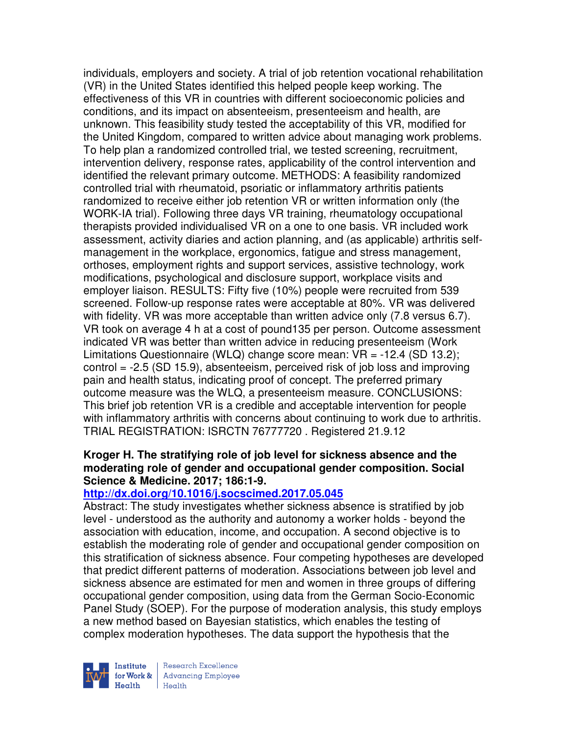individuals, employers and society. A trial of job retention vocational rehabilitation (VR) in the United States identified this helped people keep working. The effectiveness of this VR in countries with different socioeconomic policies and conditions, and its impact on absenteeism, presenteeism and health, are unknown. This feasibility study tested the acceptability of this VR, modified for the United Kingdom, compared to written advice about managing work problems. To help plan a randomized controlled trial, we tested screening, recruitment, intervention delivery, response rates, applicability of the control intervention and identified the relevant primary outcome. METHODS: A feasibility randomized controlled trial with rheumatoid, psoriatic or inflammatory arthritis patients randomized to receive either job retention VR or written information only (the WORK-IA trial). Following three days VR training, rheumatology occupational therapists provided individualised VR on a one to one basis. VR included work assessment, activity diaries and action planning, and (as applicable) arthritis selfmanagement in the workplace, ergonomics, fatigue and stress management, orthoses, employment rights and support services, assistive technology, work modifications, psychological and disclosure support, workplace visits and employer liaison. RESULTS: Fifty five (10%) people were recruited from 539 screened. Follow-up response rates were acceptable at 80%. VR was delivered with fidelity. VR was more acceptable than written advice only (7.8 versus 6.7). VR took on average 4 h at a cost of pound135 per person. Outcome assessment indicated VR was better than written advice in reducing presenteeism (Work Limitations Questionnaire (WLQ) change score mean: VR = -12.4 (SD 13.2); control = -2.5 (SD 15.9), absenteeism, perceived risk of job loss and improving pain and health status, indicating proof of concept. The preferred primary outcome measure was the WLQ, a presenteeism measure. CONCLUSIONS: This brief job retention VR is a credible and acceptable intervention for people with inflammatory arthritis with concerns about continuing to work due to arthritis. TRIAL REGISTRATION: ISRCTN 76777720 . Registered 21.9.12

### **Kroger H. The stratifying role of job level for sickness absence and the moderating role of gender and occupational gender composition. Social Science & Medicine. 2017; 186:1-9.**

### **http://dx.doi.org/10.1016/j.socscimed.2017.05.045**

Abstract: The study investigates whether sickness absence is stratified by job level - understood as the authority and autonomy a worker holds - beyond the association with education, income, and occupation. A second objective is to establish the moderating role of gender and occupational gender composition on this stratification of sickness absence. Four competing hypotheses are developed that predict different patterns of moderation. Associations between job level and sickness absence are estimated for men and women in three groups of differing occupational gender composition, using data from the German Socio-Economic Panel Study (SOEP). For the purpose of moderation analysis, this study employs a new method based on Bayesian statistics, which enables the testing of complex moderation hypotheses. The data support the hypothesis that the

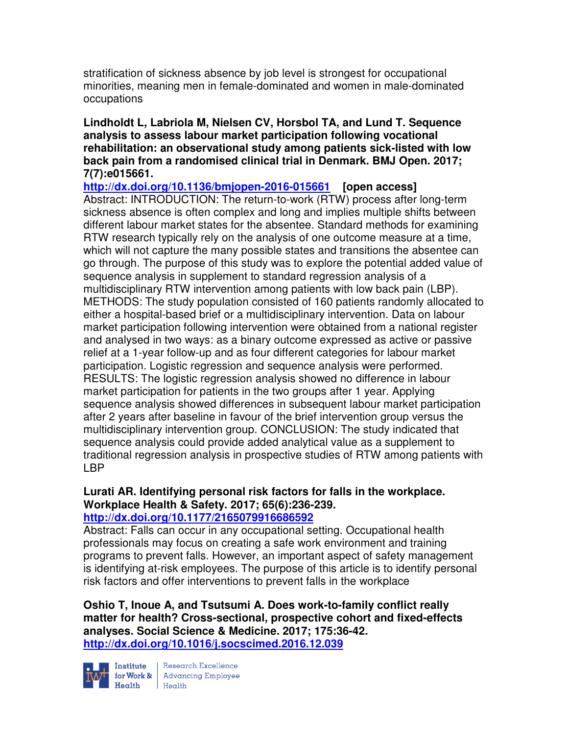stratification of sickness absence by job level is strongest for occupational minorities, meaning men in female-dominated and women in male-dominated occupations

**Lindholdt L, Labriola M, Nielsen CV, Horsbol TA, and Lund T. Sequence analysis to assess labour market participation following vocational rehabilitation: an observational study among patients sick-listed with low back pain from a randomised clinical trial in Denmark. BMJ Open. 2017; 7(7):e015661.** 

**http://dx.doi.org/10.1136/bmjopen-2016-015661 [open access]** Abstract: INTRODUCTION: The return-to-work (RTW) process after long-term sickness absence is often complex and long and implies multiple shifts between different labour market states for the absentee. Standard methods for examining RTW research typically rely on the analysis of one outcome measure at a time, which will not capture the many possible states and transitions the absentee can go through. The purpose of this study was to explore the potential added value of sequence analysis in supplement to standard regression analysis of a multidisciplinary RTW intervention among patients with low back pain (LBP). METHODS: The study population consisted of 160 patients randomly allocated to either a hospital-based brief or a multidisciplinary intervention. Data on labour market participation following intervention were obtained from a national register and analysed in two ways: as a binary outcome expressed as active or passive relief at a 1-year follow-up and as four different categories for labour market participation. Logistic regression and sequence analysis were performed. RESULTS: The logistic regression analysis showed no difference in labour market participation for patients in the two groups after 1 year. Applying sequence analysis showed differences in subsequent labour market participation after 2 years after baseline in favour of the brief intervention group versus the multidisciplinary intervention group. CONCLUSION: The study indicated that sequence analysis could provide added analytical value as a supplement to traditional regression analysis in prospective studies of RTW among patients with LBP

#### **Lurati AR. Identifying personal risk factors for falls in the workplace. Workplace Health & Safety. 2017; 65(6):236-239. http://dx.doi.org/10.1177/2165079916686592**

Abstract: Falls can occur in any occupational setting. Occupational health professionals may focus on creating a safe work environment and training programs to prevent falls. However, an important aspect of safety management is identifying at-risk employees. The purpose of this article is to identify personal risk factors and offer interventions to prevent falls in the workplace

**Oshio T, Inoue A, and Tsutsumi A. Does work-to-family conflict really matter for health? Cross-sectional, prospective cohort and fixed-effects analyses. Social Science & Medicine. 2017; 175:36-42. http://dx.doi.org/10.1016/j.socscimed.2016.12.039** 



Institute Research Excellence<br>
for Work & Advancing Employee<br>
Health Health  $Heath$  Health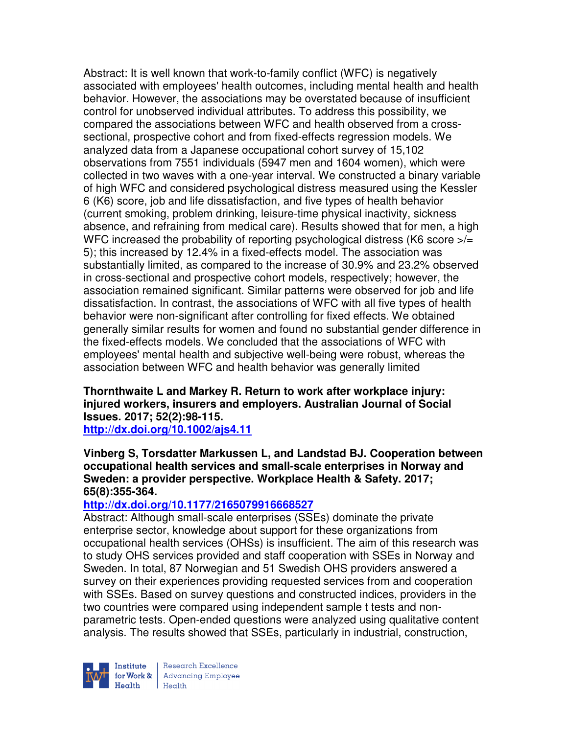Abstract: It is well known that work-to-family conflict (WFC) is negatively associated with employees' health outcomes, including mental health and health behavior. However, the associations may be overstated because of insufficient control for unobserved individual attributes. To address this possibility, we compared the associations between WFC and health observed from a crosssectional, prospective cohort and from fixed-effects regression models. We analyzed data from a Japanese occupational cohort survey of 15,102 observations from 7551 individuals (5947 men and 1604 women), which were collected in two waves with a one-year interval. We constructed a binary variable of high WFC and considered psychological distress measured using the Kessler 6 (K6) score, job and life dissatisfaction, and five types of health behavior (current smoking, problem drinking, leisure-time physical inactivity, sickness absence, and refraining from medical care). Results showed that for men, a high WFC increased the probability of reporting psychological distress (K6 score  $\frac{1}{5}$ 5); this increased by 12.4% in a fixed-effects model. The association was substantially limited, as compared to the increase of 30.9% and 23.2% observed in cross-sectional and prospective cohort models, respectively; however, the association remained significant. Similar patterns were observed for job and life dissatisfaction. In contrast, the associations of WFC with all five types of health behavior were non-significant after controlling for fixed effects. We obtained generally similar results for women and found no substantial gender difference in the fixed-effects models. We concluded that the associations of WFC with employees' mental health and subjective well-being were robust, whereas the association between WFC and health behavior was generally limited

# **Thornthwaite L and Markey R. Return to work after workplace injury: injured workers, insurers and employers. Australian Journal of Social Issues. 2017; 52(2):98-115.**

**http://dx.doi.org/10.1002/ajs4.11** 

### **Vinberg S, Torsdatter Markussen L, and Landstad BJ. Cooperation between occupational health services and small-scale enterprises in Norway and Sweden: a provider perspective. Workplace Health & Safety. 2017; 65(8):355-364.**

# **http://dx.doi.org/10.1177/2165079916668527**

Abstract: Although small-scale enterprises (SSEs) dominate the private enterprise sector, knowledge about support for these organizations from occupational health services (OHSs) is insufficient. The aim of this research was to study OHS services provided and staff cooperation with SSEs in Norway and Sweden. In total, 87 Norwegian and 51 Swedish OHS providers answered a survey on their experiences providing requested services from and cooperation with SSEs. Based on survey questions and constructed indices, providers in the two countries were compared using independent sample t tests and nonparametric tests. Open-ended questions were analyzed using qualitative content analysis. The results showed that SSEs, particularly in industrial, construction,



Research Excellence  $Heath$